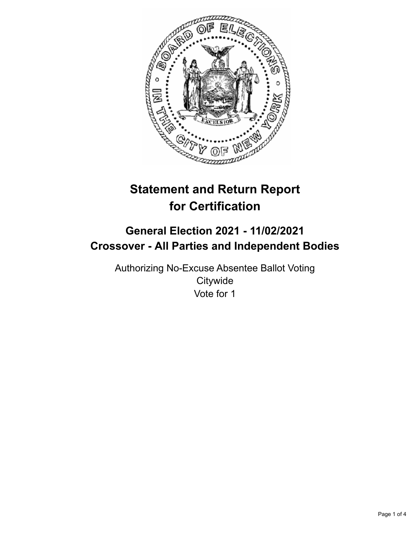

# **Statement and Return Report for Certification**

## **General Election 2021 - 11/02/2021 Crossover - All Parties and Independent Bodies**

Authorizing No-Excuse Absentee Ballot Voting **Citywide** Vote for 1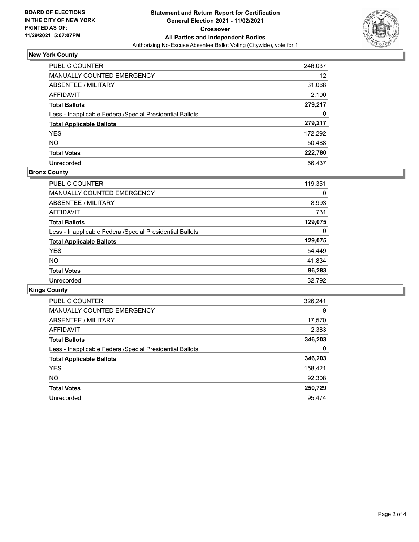

## **New York County**

| PUBLIC COUNTER                                           | 246,037 |
|----------------------------------------------------------|---------|
| <b>MANUALLY COUNTED EMERGENCY</b>                        | 12      |
| ABSENTEE / MILITARY                                      | 31,068  |
| AFFIDAVIT                                                | 2,100   |
| <b>Total Ballots</b>                                     | 279,217 |
| Less - Inapplicable Federal/Special Presidential Ballots | 0       |
| <b>Total Applicable Ballots</b>                          | 279,217 |
| <b>YES</b>                                               | 172,292 |
| <b>NO</b>                                                | 50,488  |
| <b>Total Votes</b>                                       | 222,780 |
| Unrecorded                                               | 56.437  |

### **Bronx County**

| <b>PUBLIC COUNTER</b>                                    | 119,351 |
|----------------------------------------------------------|---------|
| <b>MANUALLY COUNTED EMERGENCY</b>                        | 0       |
| ABSENTEE / MILITARY                                      | 8,993   |
| AFFIDAVIT                                                | 731     |
| <b>Total Ballots</b>                                     | 129,075 |
| Less - Inapplicable Federal/Special Presidential Ballots | 0       |
| <b>Total Applicable Ballots</b>                          | 129,075 |
| <b>YES</b>                                               | 54,449  |
| NO.                                                      | 41,834  |
| <b>Total Votes</b>                                       | 96,283  |
| Unrecorded                                               | 32,792  |

## **Kings County**

| <b>PUBLIC COUNTER</b>                                    | 326,241 |
|----------------------------------------------------------|---------|
| <b>MANUALLY COUNTED EMERGENCY</b>                        | 9       |
| ABSENTEE / MILITARY                                      | 17,570  |
| AFFIDAVIT                                                | 2,383   |
| <b>Total Ballots</b>                                     | 346,203 |
| Less - Inapplicable Federal/Special Presidential Ballots | 0       |
| <b>Total Applicable Ballots</b>                          | 346,203 |
| <b>YES</b>                                               | 158,421 |
| NO.                                                      | 92,308  |
| <b>Total Votes</b>                                       | 250,729 |
| Unrecorded                                               | 95.474  |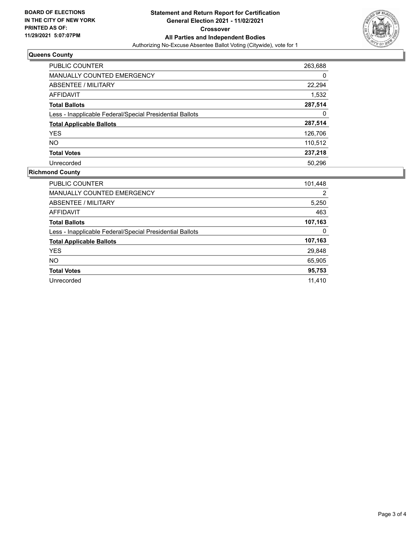

## **Queens County**

| <b>PUBLIC COUNTER</b>                                    | 263,688 |
|----------------------------------------------------------|---------|
| <b>MANUALLY COUNTED EMERGENCY</b>                        | 0       |
| ABSENTEE / MILITARY                                      | 22,294  |
| AFFIDAVIT                                                | 1,532   |
| <b>Total Ballots</b>                                     | 287,514 |
| Less - Inapplicable Federal/Special Presidential Ballots | 0       |
| <b>Total Applicable Ballots</b>                          | 287,514 |
| <b>YES</b>                                               | 126,706 |
| NO.                                                      | 110,512 |
| <b>Total Votes</b>                                       | 237,218 |
| Unrecorded                                               | 50.296  |

### **Richmond County**

| PUBLIC COUNTER                                           | 101,448 |
|----------------------------------------------------------|---------|
| MANUALLY COUNTED EMERGENCY                               | 2       |
| ABSENTEE / MILITARY                                      | 5,250   |
| AFFIDAVIT                                                | 463     |
| <b>Total Ballots</b>                                     | 107,163 |
| Less - Inapplicable Federal/Special Presidential Ballots | 0       |
| <b>Total Applicable Ballots</b>                          | 107,163 |
| <b>YES</b>                                               | 29,848  |
| NO.                                                      | 65,905  |
| <b>Total Votes</b>                                       | 95,753  |
| Unrecorded                                               | 11.410  |